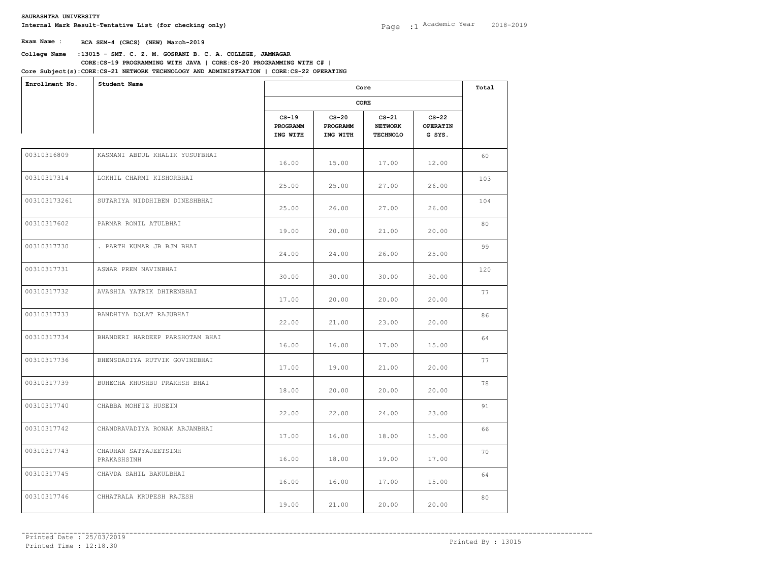**College Name** :**13015 - SMT. C. Z. M. GOSRANI B. C. A. COLLEGE, JAMNAGAR Core Subject(s)**: **CORE:CS-21 NETWORK TECHNOLOGY AND ADMINISTRATION | CORE:CS-22 OPERATING CORE:CS-19 PROGRAMMING WITH JAVA | CORE:CS-20 PROGRAMMING WITH C# |** 

| Enrollment No. | Student Name                         |                                 | Core<br>CORE                    |                                              |                                      | Total |
|----------------|--------------------------------------|---------------------------------|---------------------------------|----------------------------------------------|--------------------------------------|-------|
|                |                                      |                                 |                                 |                                              |                                      |       |
|                |                                      | $CS-19$<br>PROGRAMM<br>ING WITH | $CS-20$<br>PROGRAMM<br>ING WITH | $CS-21$<br><b>NETWORK</b><br><b>TECHNOLO</b> | $CS-22$<br><b>OPERATIN</b><br>G SYS. |       |
| 00310316809    | KASMANI ABDUL KHALIK YUSUFBHAI       | 16.00                           | 15.00                           | 17.00                                        | 12.00                                | 60    |
| 00310317314    | LOKHIL CHARMI KISHORBHAI             | 25.00                           | 25.00                           | 27.00                                        | 26.00                                | 103   |
| 003103173261   | SUTARIYA NIDDHIBEN DINESHBHAI        | 25.00                           | 26.00                           | 27.00                                        | 26.00                                | 104   |
| 00310317602    | PARMAR RONIL ATULBHAI                | 19.00                           | 20.00                           | 21.00                                        | 20.00                                | 80    |
| 00310317730    | . PARTH KUMAR JB BJM BHAI            | 24.00                           | 24.00                           | 26.00                                        | 25.00                                | 99    |
| 00310317731    | ASWAR PREM NAVINBHAI                 | 30.00                           | 30.00                           | 30.00                                        | 30.00                                | 120   |
| 00310317732    | AVASHIA YATRIK DHIRENBHAI            | 17.00                           | 20.00                           | 20.00                                        | 20.00                                | 77    |
| 00310317733    | BANDHIYA DOLAT RAJUBHAI              | 22.00                           | 21,00                           | 23.00                                        | 20.00                                | 86    |
| 00310317734    | BHANDERI HARDEEP PARSHOTAM BHAI      | 16.00                           | 16.00                           | 17.00                                        | 15.00                                | 64    |
| 00310317736    | BHENSDADIYA RUTVIK GOVINDBHAI        | 17.00                           | 19.00                           | 21.00                                        | 20.00                                | 77    |
| 00310317739    | BUHECHA KHUSHBU PRAKHSH BHAI         | 18.00                           | 20.00                           | 20.00                                        | 20.00                                | 78    |
| 00310317740    | CHABBA MOHFIZ HUSEIN                 | 22.00                           | 22.00                           | 24.00                                        | 23.00                                | 91    |
| 00310317742    | CHANDRAVADIYA RONAK ARJANBHAI        | 17.00                           | 16.00                           | 18.00                                        | 15.00                                | 66    |
| 00310317743    | CHAUHAN SATYAJEETSINH<br>PRAKASHSINH | 16.00                           | 18.00                           | 19.00                                        | 17.00                                | 70    |
| 00310317745    | CHAVDA SAHIL BAKULBHAI               | 16.00                           | 16.00                           | 17.00                                        | 15.00                                | 64    |
| 00310317746    | CHHATRALA KRUPESH RAJESH             | 19.00                           | 21.00                           | 20.00                                        | 20.00                                | 80    |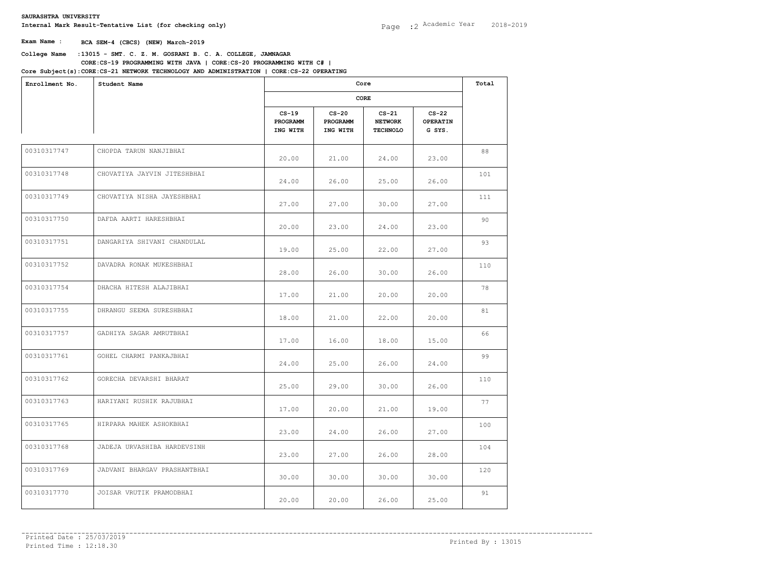# **College Name** :**13015 - SMT. C. Z. M. GOSRANI B. C. A. COLLEGE, JAMNAGAR CORE:CS-19 PROGRAMMING WITH JAVA | CORE:CS-20 PROGRAMMING WITH C# |**

| Enrollment No. | Student Name                 |                                 | Core<br>CORE                    |                                              |                                      |     |
|----------------|------------------------------|---------------------------------|---------------------------------|----------------------------------------------|--------------------------------------|-----|
|                |                              |                                 |                                 |                                              |                                      |     |
|                |                              | $CS-19$<br>PROGRAMM<br>ING WITH | $CS-20$<br>PROGRAMM<br>ING WITH | $CS-21$<br><b>NETWORK</b><br><b>TECHNOLO</b> | $CS-22$<br><b>OPERATIN</b><br>G SYS. |     |
| 00310317747    | CHOPDA TARUN NANJIBHAI       | 20.00                           | 21.00                           | 24.00                                        | 23.00                                | 88  |
| 00310317748    | CHOVATIYA JAYVIN JITESHBHAI  | 24.00                           | 26.00                           | 25.00                                        | 26.00                                | 101 |
| 00310317749    | CHOVATIYA NISHA JAYESHBHAI   | 27.00                           | 27.00                           | 30.00                                        | 27.00                                | 111 |
| 00310317750    | DAFDA AARTI HARESHBHAI       | 20.00                           | 23.00                           | 24.00                                        | 23.00                                | 90  |
| 00310317751    | DANGARIYA SHIVANI CHANDULAL  | 19.00                           | 25.00                           | 22.00                                        | 27.00                                | 93  |
| 00310317752    | DAVADRA RONAK MUKESHBHAI     | 28.00                           | 26.00                           | 30.00                                        | 26.00                                | 110 |
| 00310317754    | DHACHA HITESH ALAJIBHAI      | 17.00                           | 21.00                           | 20.00                                        | 20.00                                | 78  |
| 00310317755    | DHRANGU SEEMA SURESHBHAI     | 18.00                           | 21.00                           | 22.00                                        | 20.00                                | 81  |
| 00310317757    | GADHIYA SAGAR AMRUTBHAI      | 17.00                           | 16.00                           | 18.00                                        | 15.00                                | 66  |
| 00310317761    | GOHEL CHARMI PANKAJBHAI      | 24.00                           | 25.00                           | 26.00                                        | 24.00                                | 99  |
| 00310317762    | GORECHA DEVARSHI BHARAT      | 25.00                           | 29.00                           | 30.00                                        | 26.00                                | 110 |
| 00310317763    | HARIYANI RUSHIK RAJUBHAI     | 17.00                           | 20.00                           | 21.00                                        | 19.00                                | 77  |
| 00310317765    | HIRPARA MAHEK ASHOKBHAI      | 23.00                           | 24.00                           | 26.00                                        | 27.00                                | 100 |
| 00310317768    | JADEJA URVASHIBA HARDEVSINH  | 23.00                           | 27.00                           | 26.00                                        | 28.00                                | 104 |
| 00310317769    | JADVANI BHARGAV PRASHANTBHAI | 30.00                           | 30.00                           | 30.00                                        | 30.00                                | 120 |
| 00310317770    | JOISAR VRUTIK PRAMODBHAI     | 20.00                           | 20.00                           | 26.00                                        | 25.00                                | 91  |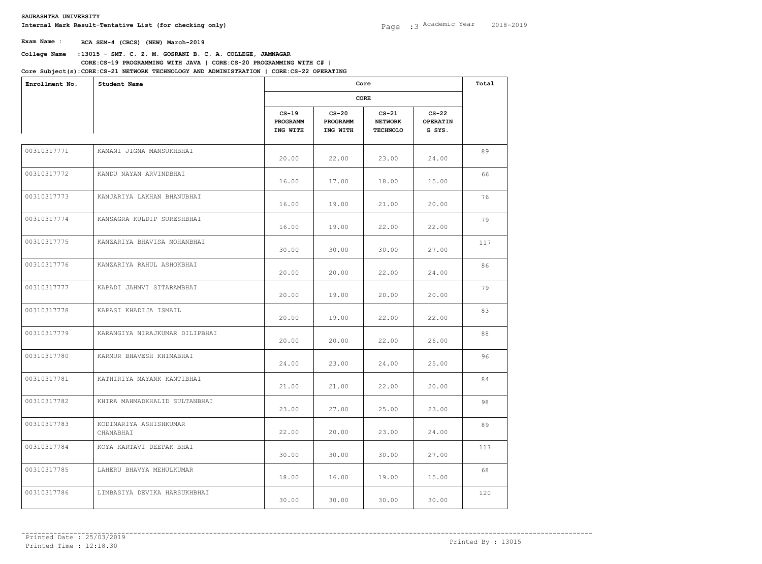# **College Name** :**13015 - SMT. C. Z. M. GOSRANI B. C. A. COLLEGE, JAMNAGAR CORE:CS-19 PROGRAMMING WITH JAVA | CORE:CS-20 PROGRAMMING WITH C# |**

| Enrollment No. | Student Name                        |                                 | Core<br>CORE                    |                                              |                                      |     |
|----------------|-------------------------------------|---------------------------------|---------------------------------|----------------------------------------------|--------------------------------------|-----|
|                |                                     |                                 |                                 |                                              |                                      |     |
|                |                                     | $CS-19$<br>PROGRAMM<br>ING WITH | $CS-20$<br>PROGRAMM<br>ING WITH | $CS-21$<br><b>NETWORK</b><br><b>TECHNOLO</b> | $CS-22$<br><b>OPERATIN</b><br>G SYS. |     |
| 00310317771    | KAMANI JIGNA MANSUKHBHAI            | 20.00                           | 22.00                           | 23.00                                        | 24.00                                | 89  |
| 00310317772    | KANDU NAYAN ARVINDBHAI              | 16.00                           | 17.00                           | 18.00                                        | 15.00                                | 66  |
| 00310317773    | KANJARIYA LAKHAN BHANUBHAI          | 16.00                           | 19.00                           | 21.00                                        | 20.00                                | 76  |
| 00310317774    | KANSAGRA KULDIP SURESHBHAI          | 16.00                           | 19.00                           | 22.00                                        | 22.00                                | 79  |
| 00310317775    | KANZARIYA BHAVISA MOHANBHAI         | 30.00                           | 30.00                           | 30.00                                        | 27.00                                | 117 |
| 00310317776    | KANZARIYA RAHUL ASHOKBHAI           | 20.00                           | 20.00                           | 22.00                                        | 24.00                                | 86  |
| 00310317777    | KAPADI JAHNVI SITARAMBHAI           | 20.00                           | 19.00                           | 20.00                                        | 20.00                                | 79  |
| 00310317778    | KAPASI KHADIJA ISMAIL               | 20.00                           | 19.00                           | 22.00                                        | 22.00                                | 83  |
| 00310317779    | KARANGIYA NIRAJKUMAR DILIPBHAI      | 20.00                           | 20.00                           | 22.00                                        | 26.00                                | 88  |
| 00310317780    | KARMUR BHAVESH KHIMABHAI            | 24.00                           | 23.00                           | 24.00                                        | 25.00                                | 96  |
| 00310317781    | KATHIRIYA MAYANK KANTIBHAI          | 21.00                           | 21.00                           | 22.00                                        | 20.00                                | 84  |
| 00310317782    | KHIRA MAHMADKHALID SULTANBHAI       | 23.00                           | 27.00                           | 25.00                                        | 23.00                                | 98  |
| 00310317783    | KODINARIYA ASHISHKUMAR<br>CHANABHAI | 22.00                           | 20.00                           | 23.00                                        | 24.00                                | 89  |
| 00310317784    | KOYA KARTAVI DEEPAK BHAI            | 30.00                           | 30.00                           | 30.00                                        | 27.00                                | 117 |
| 00310317785    | LAHERU BHAVYA MEHULKUMAR            | 18.00                           | 16.00                           | 19.00                                        | 15.00                                | 68  |
| 00310317786    | LIMBASIYA DEVIKA HARSUKHBHAI        | 30.00                           | 30.00                           | 30.00                                        | 30.00                                | 120 |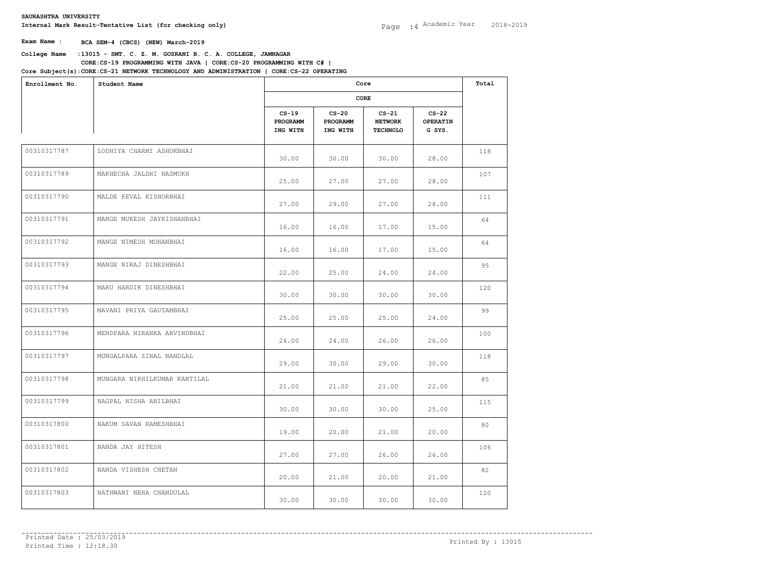# **College Name** :**13015 - SMT. C. Z. M. GOSRANI B. C. A. COLLEGE, JAMNAGAR CORE:CS-19 PROGRAMMING WITH JAVA | CORE:CS-20 PROGRAMMING WITH C# |**

| Enrollment No. | Student Name                 |                                 | Core<br>CORE                    |                                              |                                      |     |
|----------------|------------------------------|---------------------------------|---------------------------------|----------------------------------------------|--------------------------------------|-----|
|                |                              |                                 |                                 |                                              |                                      |     |
|                |                              | $CS-19$<br>PROGRAMM<br>ING WITH | $CS-20$<br>PROGRAMM<br>ING WITH | $CS-21$<br><b>NETWORK</b><br><b>TECHNOLO</b> | $CS-22$<br><b>OPERATIN</b><br>G SYS. |     |
| 00310317787    | LODHIYA CHARMI ASHOKBHAI     | 30.00                           | 30.00                           | 30.00                                        | 28.00                                | 118 |
| 00310317789    | MAKHECHA JALDHI HASMUKH      | 25.00                           | 27.00                           | 27.00                                        | 28.00                                | 107 |
| 00310317790    | MALDE KEVAL KISHORBHAI       | 27.00                           | 29.00                           | 27.00                                        | 28.00                                | 111 |
| 00310317791    | MANGE MUKESH JAYKISHANBHAI   | 16.00                           | 16.00                           | 17.00                                        | 15.00                                | 64  |
| 00310317792    | MANGE NIMESH MOHANBHAI       | 16.00                           | 16.00                           | 17.00                                        | 15.00                                | 64  |
| 00310317793    | MANGE NIRAJ DINESHBHAI       | 22.00                           | 25.00                           | 24.00                                        | 24.00                                | 95  |
| 00310317794    | MARU HARDIK DINESHBHAI       | 30.00                           | 30.00                           | 30.00                                        | 30.00                                | 120 |
| 00310317795    | MAVANI PRIYA GAUTAMBHAI      | 25.00                           | 25.00                           | 25.00                                        | 24.00                                | 99  |
| 00310317796    | MENDPARA NIRANKA ARVINDBHAI  | 24.00                           | 24.00                           | 26.00                                        | 26.00                                | 100 |
| 00310317797    | MUNGALPARA ZINAL NANDLAL     | 29.00                           | 30.00                           | 29.00                                        | 30.00                                | 118 |
| 00310317798    | MUNGARA NIKHILKUMAR KANTILAL | 21.00                           | 21.00                           | 21.00                                        | 22.00                                | 85  |
| 00310317799    | NAGPAL NISHA ANILBHAI        | 30.00                           | 30.00                           | 30.00                                        | 25.00                                | 115 |
| 00310317800    | NAKUM SAVAN RAMESHBHAI       | 19.00                           | 20.00                           | 21.00                                        | 20.00                                | 80  |
| 00310317801    | NANDA JAY HITESH             | 27.00                           | 27.00                           | 26.00                                        | 26.00                                | 106 |
| 00310317802    | NANDA VISHESH CHETAN         | 20.00                           | 21.00                           | 20.00                                        | 21.00                                | 82  |
| 00310317803    | NATHWANI NEHA CHANDULAL      | 30.00                           | 30.00                           | 30.00                                        | 30.00                                | 120 |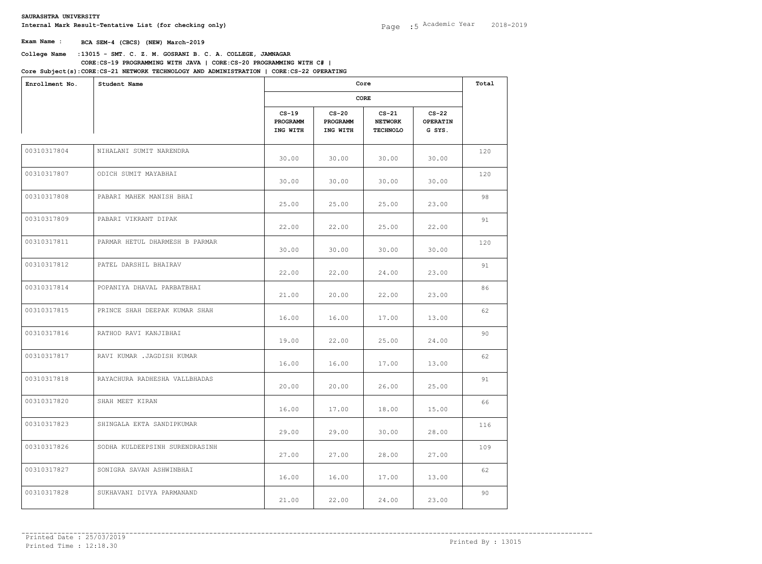### **College Name** :**13015 - SMT. C. Z. M. GOSRANI B. C. A. COLLEGE, JAMNAGAR CORE:CS-19 PROGRAMMING WITH JAVA | CORE:CS-20 PROGRAMMING WITH C# |**

| Enrollment No.<br>Student Name |                                |                                 | Total                           |                                              |                                      |     |
|--------------------------------|--------------------------------|---------------------------------|---------------------------------|----------------------------------------------|--------------------------------------|-----|
|                                |                                | CORE                            |                                 |                                              |                                      |     |
|                                |                                | $CS-19$<br>PROGRAMM<br>ING WITH | $CS-20$<br>PROGRAMM<br>ING WITH | $CS-21$<br><b>NETWORK</b><br><b>TECHNOLO</b> | $CS-22$<br><b>OPERATIN</b><br>G SYS. |     |
| 00310317804                    | NIHALANI SUMIT NARENDRA        | 30.00                           | 30.00                           | 30.00                                        | 30.00                                | 120 |
| 00310317807                    | ODICH SUMIT MAYABHAI           | 30.00                           | 30.00                           | 30.00                                        | 30.00                                | 120 |
| 00310317808                    | PABARI MAHEK MANISH BHAI       | 25.00                           | 25.00                           | 25.00                                        | 23.00                                | 98  |
| 00310317809                    | PABARI VIKRANT DIPAK           | 22.00                           | 22.00                           | 25.00                                        | 22.00                                | 91  |
| 00310317811                    | PARMAR HETUL DHARMESH B PARMAR | 30.00                           | 30.00                           | 30.00                                        | 30.00                                | 120 |
| 00310317812                    | PATEL DARSHIL BHAIRAV          | 22.00                           | 22.00                           | 24.00                                        | 23.00                                | 91  |
| 00310317814                    | POPANIYA DHAVAL PARBATBHAI     | 21.00                           | 20.00                           | 22.00                                        | 23.00                                | 86  |
| 00310317815                    | PRINCE SHAH DEEPAK KUMAR SHAH  | 16.00                           | 16.00                           | 17.00                                        | 13.00                                | 62  |
| 00310317816                    | RATHOD RAVI KANJIBHAI          | 19.00                           | 22.00                           | 25.00                                        | 24.00                                | 90  |
| 00310317817                    | RAVI KUMAR .JAGDISH KUMAR      | 16.00                           | 16.00                           | 17.00                                        | 13.00                                | 62  |
| 00310317818                    | RAYACHURA RADHESHA VALLBHADAS  | 20.00                           | 20.00                           | 26.00                                        | 25.00                                | 91  |
| 00310317820                    | SHAH MEET KIRAN                | 16.00                           | 17.00                           | 18.00                                        | 15.00                                | 66  |
| 00310317823                    | SHINGALA EKTA SANDIPKUMAR      | 29.00                           | 29.00                           | 30.00                                        | 28.00                                | 116 |
| 00310317826                    | SODHA KULDEEPSINH SURENDRASINH | 27.00                           | 27.00                           | 28.00                                        | 27.00                                | 109 |
| 00310317827                    | SONIGRA SAVAN ASHWINBHAI       | 16.00                           | 16.00                           | 17.00                                        | 13.00                                | 62  |
| 00310317828                    | SUKHAVANI DIVYA PARMANAND      | 21.00                           | 22.00                           | 24.00                                        | 23.00                                | 90  |